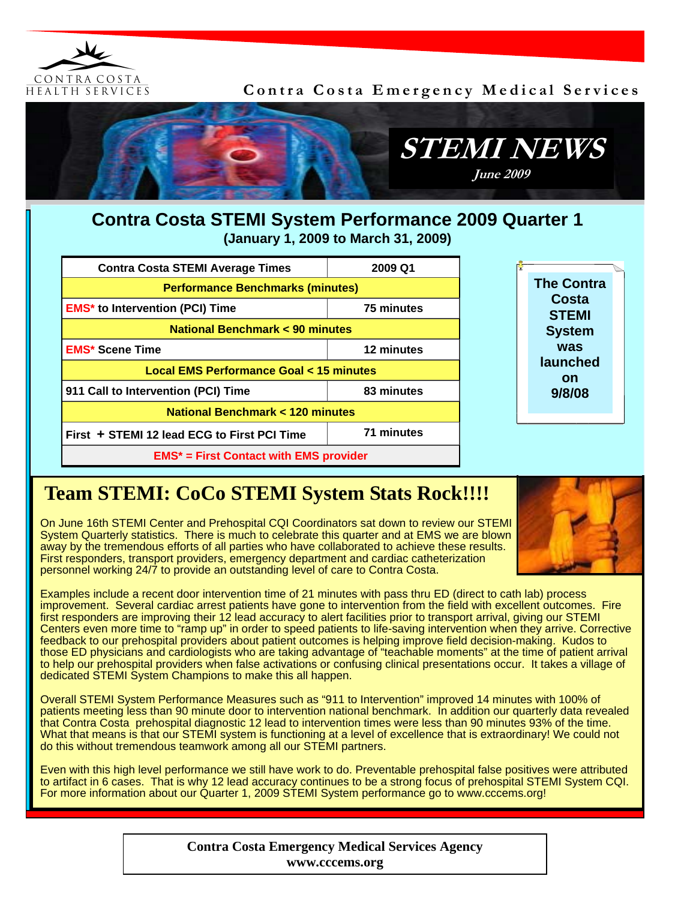

**Contra Costa Emergency Medical Services** 



## **Contra Costa STEMI System Performance 2009 Quarter 1 (January 1, 2009 to March 31, 2009)**

| <b>Contra Costa STEMI Average Times</b>           | 2009 Q1    |  |  |
|---------------------------------------------------|------------|--|--|
| <b>Performance Benchmarks (minutes)</b>           |            |  |  |
| <b>EMS<sup>*</sup></b> to Intervention (PCI) Time | 75 minutes |  |  |
| National Benchmark < 90 minutes                   |            |  |  |
| <b>EMS* Scene Time</b>                            | 12 minutes |  |  |
| Local EMS Performance Goal < 15 minutes           |            |  |  |
| 911 Call to Intervention (PCI) Time               | 83 minutes |  |  |
| <b>National Benchmark &lt; 120 minutes</b>        |            |  |  |
| First + STEMI 12 lead ECG to First PCI Time       | 71 minutes |  |  |
| $EMS*$ = First Contact with EMS provider          |            |  |  |



## **Team STEMI: CoCo STEMI System Stats Rock!!!!**

On June 16th STEMI Center and Prehospital CQI Coordinators sat down to review our STEMI System Quarterly statistics. There is much to celebrate this quarter and at EMS we are blown away by the tremendous efforts of all parties who have collaborated to achieve these results. First responders, transport providers, emergency department and cardiac catheterization personnel working 24/7 to provide an outstanding level of care to Contra Costa.



Examples include a recent door intervention time of 21 minutes with pass thru ED (direct to cath lab) process improvement. Several cardiac arrest patients have gone to intervention from the field with excellent outcomes. Fire first responders are improving their 12 lead accuracy to alert facilities prior to transport arrival, giving our STEMI Centers even more time to "ramp up" in order to speed patients to life-saving intervention when they arrive. Corrective feedback to our prehospital providers about patient outcomes is helping improve field decision-making. Kudos to those ED physicians and cardiologists who are taking advantage of "teachable moments" at the time of patient arrival to help our prehospital providers when false activations or confusing clinical presentations occur. It takes a village of dedicated STEMI System Champions to make this all happen.

Overall STEMI System Performance Measures such as "911 to Intervention" improved 14 minutes with 100% of patients meeting less than 90 minute door to intervention national benchmark. In addition our quarterly data revealed that Contra Costa prehospital diagnostic 12 lead to intervention times were less than 90 minutes 93% of the time. What that means is that our STEMI system is functioning at a level of excellence that is extraordinary! We could not do this without tremendous teamwork among all our STEMI partners.

Even with this high level performance we still have work to do. Preventable prehospital false positives were attributed to artifact in 6 cases. That is why 12 lead accuracy continues to be a strong focus of prehospital STEMI System CQI. For more information about our Quarter 1, 2009 STEMI System performance go to www.cccems.org!